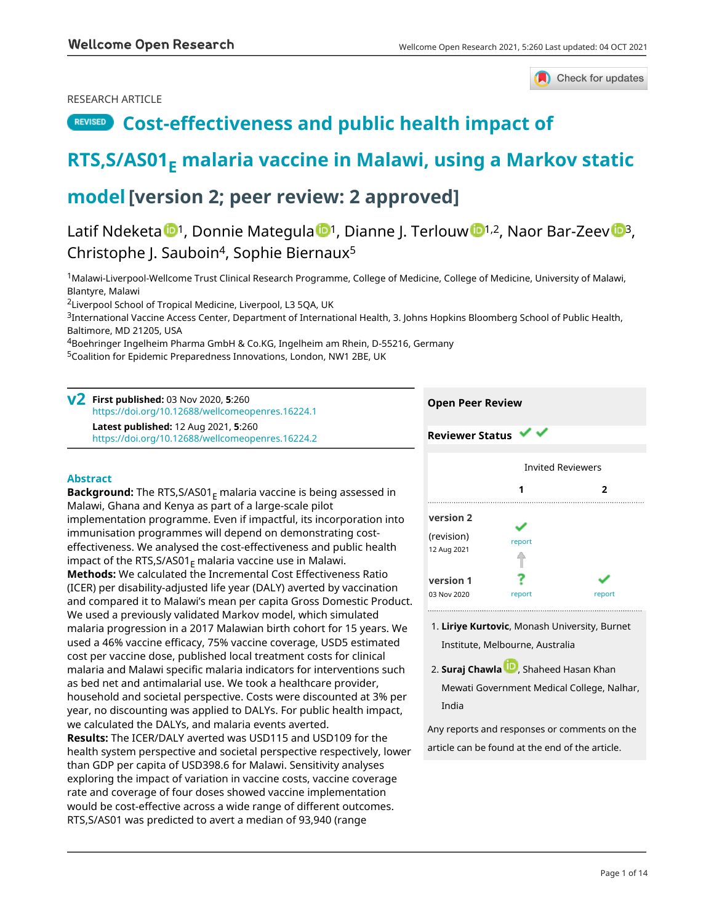## RESEARCH ARTICLE



## **REVISED** [Cost-effectiveness and public health impact of](https://wellcomeopenresearch.org/articles/5-260/v2)

# **[RTS,S/AS01](https://wellcomeopenresearch.org/articles/5-260/v2)[E](https://wellcomeopenresearch.org/articles/5-260/v2)  [malaria vaccine in Malawi, using a Markov static](https://wellcomeopenresearch.org/articles/5-260/v2)**

## **[model](https://wellcomeopenresearch.org/articles/5-260/v2)[version 2; peer review: 2 approved]**

Latif Ndeketa <sup>[1](https://orcid.org/0000-0001-5327-8995)</sup>, Donnie Mategula <sup>1</sup>, Dianne J. Terlouw <sup>1,2</sup>, Naor Bar-Zeev <sup>13</sup>, Christophe J. Sauboin<sup>4</sup>, Sophie Biernaux<sup>5</sup>

<sup>1</sup>Malawi-Liverpool-Wellcome Trust Clinical Research Programme, College of Medicine, College of Medicine, University of Malawi, Blantyre, Malawi

<sup>2</sup>Liverpool School of Tropical Medicine, Liverpool, L3 5QA, UK

<sup>3</sup>International Vaccine Access Center, Department of International Health, 3. Johns Hopkins Bloomberg School of Public Health, Baltimore, MD 21205, USA

<sup>4</sup>Boehringer Ingelheim Pharma GmbH & Co.KG, Ingelheim am Rhein, D-55216, Germany

<sup>5</sup>Coalition for Epidemic Preparedness Innovations, London, NW1 2BE, UK

**First published:** 03 Nov 2020, **5**:260 **v2** <https://doi.org/10.12688/wellcomeopenres.16224.1> **Latest published:** 12 Aug 2021, **5**:260 <https://doi.org/10.12688/wellcomeopenres.16224.2>

## **Abstract**

**Background:** The RTS,S/AS01<sub>F</sub> malaria vaccine is being assessed in Malawi, Ghana and Kenya as part of a large-scale pilot implementation programme. Even if impactful, its incorporation into immunisation programmes will depend on demonstrating costeffectiveness. We analysed the cost-effectiveness and public health impact of the RTS, S/AS01 $_F$  malaria vaccine use in Malawi. **Methods:** We calculated the Incremental Cost Effectiveness Ratio (ICER) per disability-adjusted life year (DALY) averted by vaccination and compared it to Malawi's mean per capita Gross Domestic Product. We used a previously validated Markov model, which simulated malaria progression in a 2017 Malawian birth cohort for 15 years. We used a 46% vaccine efficacy, 75% vaccine coverage, USD5 estimated cost per vaccine dose, published local treatment costs for clinical malaria and Malawi specific malaria indicators for interventions such as bed net and antimalarial use. We took a healthcare provider, household and societal perspective. Costs were discounted at 3% per year, no discounting was applied to DALYs. For public health impact, we calculated the DALYs, and malaria events averted. **Results:** The ICER/DALY averted was USD115 and USD109 for the health system perspective and societal perspective respectively, lower than GDP per capita of USD398.6 for Malawi. Sensitivity analyses exploring the impact of variation in vaccine costs, vaccine coverage rate and coverage of four doses showed vaccine implementation would be cost-effective across a wide range of different outcomes. RTS,S/AS01 was predicted to avert a median of 93,940 (range

## **Open Peer Review**

**Reviewer Status** Invited Reviewers **1 2 [version 2](https://wellcomeopenresearch.org/articles/5-260/v2)** ✓ (revision) [report](jar:file:/work/f1000research/webapps/ROOT/WEB-INF/lib/service-1.0-SNAPSHOT.jar!/com/f1000research/service/export/pdf/#) 12 Aug 2021 ? **[version 1](https://wellcomeopenresearch.org/articles/5-260/v1)** 03 Nov 2020 [report](jar:file:/work/f1000research/webapps/ROOT/WEB-INF/lib/service-1.0-SNAPSHOT.jar!/com/f1000research/service/export/pdf/#) report report

- **Liriye Kurtovic**, Monash University, Burnet 1. Institute, Melbourne, Australia
- 2. **Suraj Chawla UV**, Shaheed Hasan Khan Mewati Government Medical College, Nalhar, India

Any reports and responses or comments on the article can be found at the end of the article.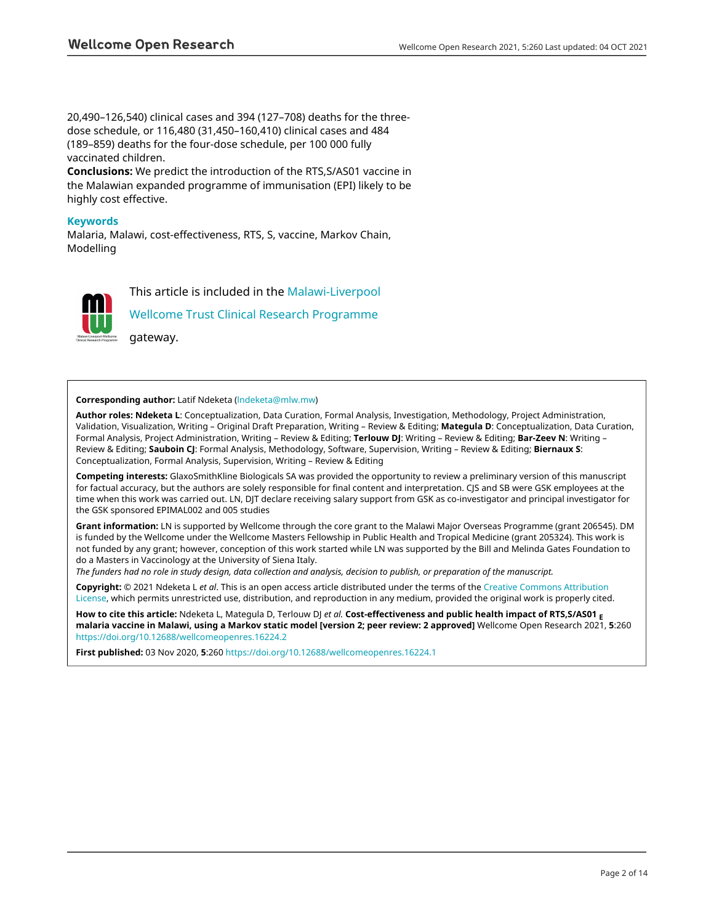20,490–126,540) clinical cases and 394 (127–708) deaths for the threedose schedule, or 116,480 (31,450–160,410) clinical cases and 484 (189–859) deaths for the four-dose schedule, per 100 000 fully vaccinated children.

**Conclusions:** We predict the introduction of the RTS,S/AS01 vaccine in the Malawian expanded programme of immunisation (EPI) likely to be highly cost effective.

### **Keywords**

Malaria, Malawi, cost-effectiveness, RTS, S, vaccine, Markov Chain, Modelling



This article is included in the [Malawi-Liverpool](https://wellcomeopenresearch.org/gateways/mlw)

[Wellcome Trust Clinical Research Programme](https://wellcomeopenresearch.org/gateways/mlw)

gateway.

### **Corresponding author:** Latif Ndeketa ([lndeketa@mlw.mw\)](mailto:lndeketa@mlw.mw)

**Author roles: Ndeketa L**: Conceptualization, Data Curation, Formal Analysis, Investigation, Methodology, Project Administration, Validation, Visualization, Writing – Original Draft Preparation, Writing – Review & Editing; **Mategula D**: Conceptualization, Data Curation, Formal Analysis, Project Administration, Writing – Review & Editing; **Terlouw DJ**: Writing – Review & Editing; **Bar-Zeev N**: Writing – Review & Editing; **Sauboin CJ**: Formal Analysis, Methodology, Software, Supervision, Writing – Review & Editing; **Biernaux S**: Conceptualization, Formal Analysis, Supervision, Writing – Review & Editing

**Competing interests:** GlaxoSmithKline Biologicals SA was provided the opportunity to review a preliminary version of this manuscript for factual accuracy, but the authors are solely responsible for final content and interpretation. CJS and SB were GSK employees at the time when this work was carried out. LN, DJT declare receiving salary support from GSK as co-investigator and principal investigator for the GSK sponsored EPIMAL002 and 005 studies

**Grant information:** LN is supported by Wellcome through the core grant to the Malawi Major Overseas Programme (grant 206545). DM is funded by the Wellcome under the Wellcome Masters Fellowship in Public Health and Tropical Medicine (grant 205324). This work is not funded by any grant; however, conception of this work started while LN was supported by the Bill and Melinda Gates Foundation to do a Masters in Vaccinology at the University of Siena Italy.

*The funders had no role in study design, data collection and analysis, decision to publish, or preparation of the manuscript.*

**Copyright:** © 2021 Ndeketa L *et al*. This is an open access article distributed under the terms of the [Creative Commons Attribution](http://creativecommons.org/licenses/by/4.0/) [License](http://creativecommons.org/licenses/by/4.0/), which permits unrestricted use, distribution, and reproduction in any medium, provided the original work is properly cited.

**How to cite this article:** Ndeketa L, Mategula D, Terlouw DJ *et al.* **Cost-effectiveness and public health impact of RTS,S/AS01 <sup>E</sup> malaria vaccine in Malawi, using a Markov static model [version 2; peer review: 2 approved]** Wellcome Open Research 2021, **5**:260 <https://doi.org/10.12688/wellcomeopenres.16224.2>

**First published:** 03 Nov 2020, **5**:260 <https://doi.org/10.12688/wellcomeopenres.16224.1>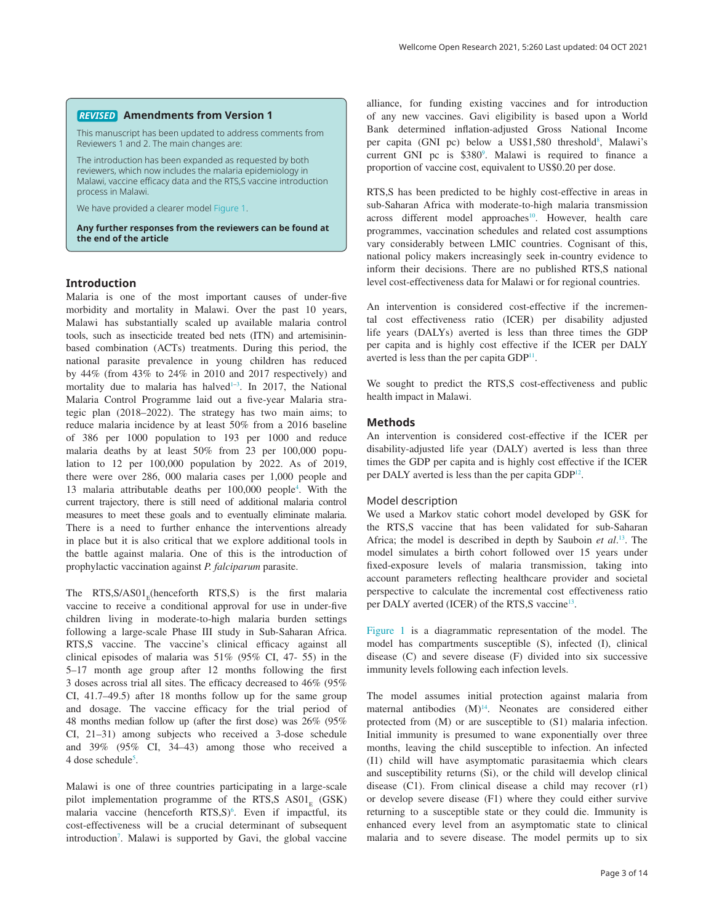### **Amendments from Version 1** *REVISED*

This manuscript has been updated to address comments from Reviewers 1 and 2. The main changes are:

The introduction has been expanded as requested by both reviewers, which now includes the malaria epidemiology in Malawi, vaccine efficacy data and the RTS,S vaccine introduction process in Malawi.

We have provided a clearer model [Figure 1](#page-3-0).

**Any further responses from the reviewers can be found at the end of the article**

### **Introduction**

Malaria is one of the most important causes of under-five morbidity and mortality in Malawi. Over the past 10 years, Malawi has substantially scaled up available malaria control tools, such as insecticide treated bed nets (ITN) and artemisininbased combination (ACTs) treatments. During this period, the national parasite prevalence in young children has reduced by 44% (from 43% to 24% in 2010 and 2017 respectively) and mortality due to malaria has halved<sup>1-3</sup>. In 2017, the National Malaria Control Programme laid out a five-year Malaria strategic plan (2018–2022). The strategy has two main aims; to reduce malaria incidence by at least 50% from a 2016 baseline of 386 per 1000 population to 193 per 1000 and reduce malaria deaths by at least 50% from 23 per 100,000 population to 12 per 100,000 population by 2022. As of 2019, there were over 286, 000 malaria cases per 1,000 people and 13 malaria attributable deaths per 100,000 people[4](#page-7-0) . With the current trajectory, there is still need of additional malaria control measures to meet these goals and to eventually eliminate malaria. There is a need to further enhance the interventions already in place but it is also critical that we explore additional tools in the battle against malaria. One of this is the introduction of prophylactic vaccination against *P. falciparum* parasite.

The  $RTS, S/AS01$ <sub>r</sub>(henceforth  $RTS, S$ ) is the first malaria vaccine to receive a conditional approval for use in under-five children living in moderate-to-high malaria burden settings following a large-scale Phase III study in Sub-Saharan Africa. RTS,S vaccine. The vaccine's clinical efficacy against all clinical episodes of malaria was 51% (95% CI, 47- 55) in the 5–17 month age group after 12 months following the first 3 doses across trial all sites. The efficacy decreased to 46% (95% CI, 41.7–49.5) after 18 months follow up for the same group and dosage. The vaccine efficacy for the trial period of 48 months median follow up (after the first dose) was 26% (95% CI, 21–31) among subjects who received a 3-dose schedule and 39% (95% CI, 34–43) among those who received a 4 dose schedule<sup>[5](#page-7-0)</sup>.

Malawi is one of three countries participating in a large-scale pilot implementation programme of the RTS,  $S$  AS01<sub>E</sub> (GSK) malaria vaccine (henceforth RTS,S)<sup>[6](#page-7-0)</sup>. Even if impactful, its cost-effectiveness will be a crucial determinant of subsequent introduction<sup>[7](#page-7-0)</sup>. Malawi is supported by Gavi, the global vaccine

alliance, for funding existing vaccines and for introduction of any new vaccines. Gavi eligibility is based upon a World Bank determined inflation-adjusted Gross National Income per capita (GNI pc) below a US\$1,5[8](#page-7-0)0 threshold<sup>8</sup>, Malawi's current GNI pc is  $$380^\circ$ . Malawi is required to finance a proportion of vaccine cost, equivalent to US\$0.20 per dose.

RTS,S has been predicted to be highly cost-effective in areas in sub-Saharan Africa with moderate-to-high malaria transmission across different model approaches<sup>[10](#page-7-0)</sup>. However, health care programmes, vaccination schedules and related cost assumptions vary considerably between LMIC countries. Cognisant of this, national policy makers increasingly seek in-country evidence to inform their decisions. There are no published RTS,S national level cost-effectiveness data for Malawi or for regional countries.

An intervention is considered cost-effective if the incremental cost effectiveness ratio (ICER) per disability adjusted life years (DALYs) averted is less than three times the GDP per capita and is highly cost effective if the ICER per DALY averted is less than the per capita  $GDP<sup>11</sup>$ .

We sought to predict the RTS,S cost-effectiveness and public health impact in Malawi.

### **Methods**

An intervention is considered cost-effective if the ICER per disability-adjusted life year (DALY) averted is less than three times the GDP per capita and is highly cost effective if the ICER per DALY averted is less than the per capita GDP<sup>12</sup>.

### Model description

We used a Markov static cohort model developed by GSK for the RTS,S vaccine that has been validated for sub-Saharan Africa; the model is described in depth by Sauboin *et al*. [13.](#page-7-0) The model simulates a birth cohort followed over 15 years under fixed-exposure levels of malaria transmission, taking into account parameters reflecting healthcare provider and societal perspective to calculate the incremental cost effectiveness ratio per DALY averted (ICER) of the RTS,S vaccine<sup>13</sup>.

[Figure 1](#page-3-0) is a diagrammatic representation of the model. The model has compartments susceptible (S), infected (I), clinical disease (C) and severe disease (F) divided into six successive immunity levels following each infection levels.

The model assumes initial protection against malaria from maternal antibodies  $(M)^{14}$  $(M)^{14}$  $(M)^{14}$ . Neonates are considered either protected from (M) or are susceptible to (S1) malaria infection. Initial immunity is presumed to wane exponentially over three months, leaving the child susceptible to infection. An infected (I1) child will have asymptomatic parasitaemia which clears and susceptibility returns (Si), or the child will develop clinical disease (C1). From clinical disease a child may recover (r1) or develop severe disease (F1) where they could either survive returning to a susceptible state or they could die. Immunity is enhanced every level from an asymptomatic state to clinical malaria and to severe disease. The model permits up to six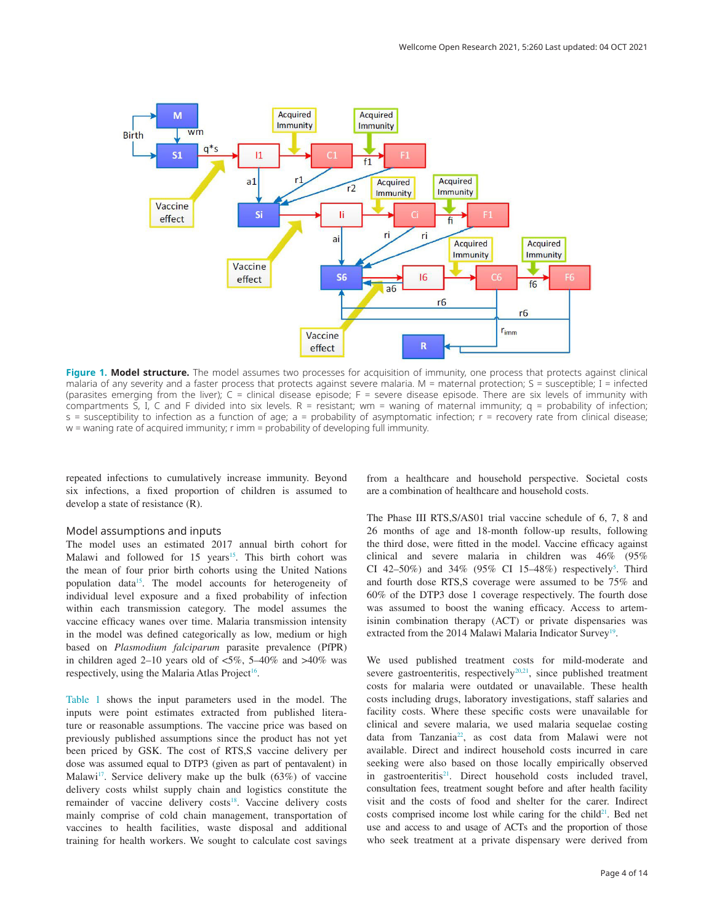<span id="page-3-0"></span>

**Figure 1. Model structure.** The model assumes two processes for acquisition of immunity, one process that protects against clinical malaria of any severity and a faster process that protects against severe malaria. M = maternal protection; S = susceptible; I = infected (parasites emerging from the liver); C = clinical disease episode; F = severe disease episode. There are six levels of immunity with compartments S, I, C and F divided into six levels.  $R =$  resistant; wm = waning of maternal immunity;  $q =$  probability of infection; s = susceptibility to infection as a function of age; a = probability of asymptomatic infection; r = recovery rate from clinical disease; w = waning rate of acquired immunity; r imm = probability of developing full immunity.

repeated infections to cumulatively increase immunity. Beyond six infections, a fixed proportion of children is assumed to develop a state of resistance (R).

### Model assumptions and inputs

The model uses an estimated 2017 annual birth cohort for Malawi and followed for [15](#page-8-0) years<sup>15</sup>. This birth cohort was the mean of four prior birth cohorts using the United Nations population data<sup>15</sup>. The model accounts for heterogeneity of individual level exposure and a fixed probability of infection within each transmission category. The model assumes the vaccine efficacy wanes over time. Malaria transmission intensity in the model was defined categorically as low, medium or high based on *Plasmodium falciparum* parasite prevalence (PfPR) in children aged 2–10 years old of  $\langle 5\%, 5-40\% \rangle$  and  $>40\%$  was respectively, using the Malaria Atlas Project<sup>16</sup>.

[Table 1](#page-4-0) shows the input parameters used in the model. The inputs were point estimates extracted from published literature or reasonable assumptions. The vaccine price was based on previously published assumptions since the product has not yet been priced by GSK. The cost of RTS,S vaccine delivery per dose was assumed equal to DTP3 (given as part of pentavalent) in Malawi<sup>17</sup>. Service delivery make up the bulk  $(63%)$  of vaccine delivery costs whilst supply chain and logistics constitute the remainder of vaccine delivery costs<sup>[18](#page-8-0)</sup>. Vaccine delivery costs mainly comprise of cold chain management, transportation of vaccines to health facilities, waste disposal and additional training for health workers. We sought to calculate cost savings

from a healthcare and household perspective. Societal costs are a combination of healthcare and household costs.

The Phase III RTS,S/AS01 trial vaccine schedule of 6, 7, 8 and 26 months of age and 18-month follow-up results, following the third dose, were fitted in the model. Vaccine efficacy against clinical and severe malaria in children was 46% (95% CI 42-[5](#page-7-0)0%) and 34% (95% CI 15-48%) respectively<sup>5</sup>. Third and fourth dose RTS,S coverage were assumed to be 75% and 60% of the DTP3 dose 1 coverage respectively. The fourth dose was assumed to boost the waning efficacy. Access to artemisinin combination therapy (ACT) or private dispensaries was extracted from the 2014 Malawi Malaria Indicator Survey<sup>[19](#page-8-0)</sup>.

We used published treatment costs for mild-moderate and severe gastroenteritis, respectively<sup>20,21</sup>, since published treatment costs for malaria were outdated or unavailable. These health costs including drugs, laboratory investigations, staff salaries and facility costs. Where these specific costs were unavailable for clinical and severe malaria, we used malaria sequelae costing data from Tanzania<sup>22</sup>, as cost data from Malawi were not available. Direct and indirect household costs incurred in care seeking were also based on those locally empirically observed in gastroenteritis<sup>21</sup>. Direct household costs included travel, consultation fees, treatment sought before and after health facility visit and the costs of food and shelter for the carer. Indirect costs comprised income lost while caring for the child<sup>21</sup>. Bed net use and access to and usage of ACTs and the proportion of those who seek treatment at a private dispensary were derived from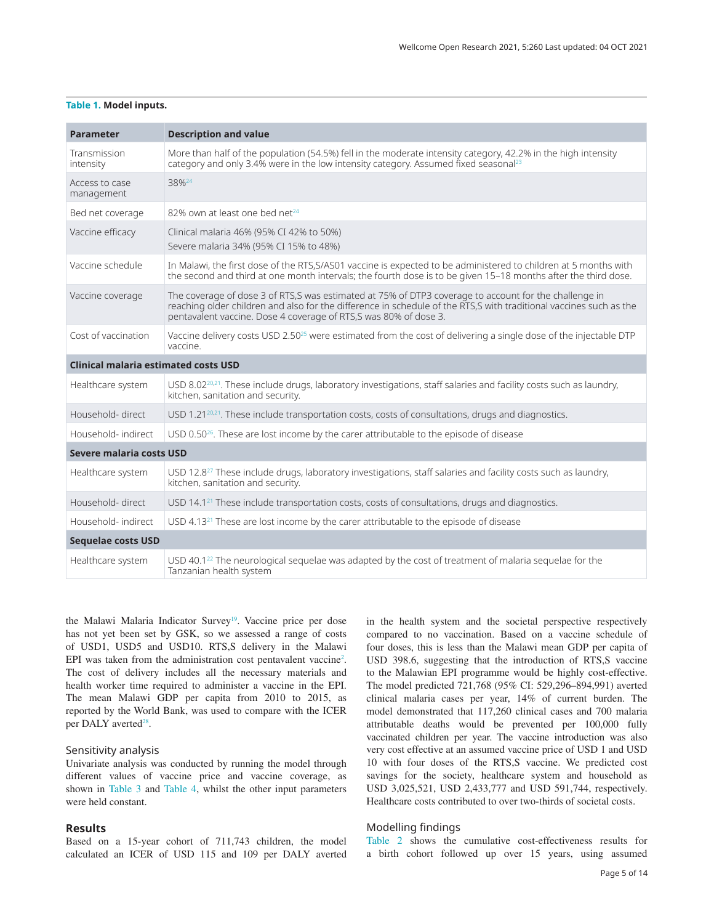### <span id="page-4-0"></span>**Table 1. Model inputs.**

| <b>Parameter</b>                            | <b>Description and value</b>                                                                                                                                                                                                                                                                    |  |  |  |
|---------------------------------------------|-------------------------------------------------------------------------------------------------------------------------------------------------------------------------------------------------------------------------------------------------------------------------------------------------|--|--|--|
| Transmission<br>intensity                   | More than half of the population (54.5%) fell in the moderate intensity category, 42.2% in the high intensity<br>category and only 3.4% were in the low intensity category. Assumed fixed seasonal <sup>23</sup>                                                                                |  |  |  |
| Access to case<br>management                | 38% <sup>24</sup>                                                                                                                                                                                                                                                                               |  |  |  |
| Bed net coverage                            | 82% own at least one bed net <sup>24</sup>                                                                                                                                                                                                                                                      |  |  |  |
| Vaccine efficacy                            | Clinical malaria 46% (95% CI 42% to 50%)<br>Severe malaria 34% (95% CI 15% to 48%)                                                                                                                                                                                                              |  |  |  |
| Vaccine schedule                            | In Malawi, the first dose of the RTS, S/AS01 vaccine is expected to be administered to children at 5 months with<br>the second and third at one month intervals; the fourth dose is to be given 15-18 months after the third dose.                                                              |  |  |  |
| Vaccine coverage                            | The coverage of dose 3 of RTS,S was estimated at 75% of DTP3 coverage to account for the challenge in<br>reaching older children and also for the difference in schedule of the RTS,S with traditional vaccines such as the<br>pentavalent vaccine. Dose 4 coverage of RTS,S was 80% of dose 3. |  |  |  |
| Cost of vaccination                         | Vaccine delivery costs USD 2.50 <sup>25</sup> were estimated from the cost of delivering a single dose of the injectable DTP<br>vaccine.                                                                                                                                                        |  |  |  |
| <b>Clinical malaria estimated costs USD</b> |                                                                                                                                                                                                                                                                                                 |  |  |  |
| Healthcare system                           | USD 8.02 <sup>20,21</sup> . These include drugs, laboratory investigations, staff salaries and facility costs such as laundry,<br>kitchen, sanitation and security.                                                                                                                             |  |  |  |
| Household-direct                            | USD 1.21 <sup>20,21</sup> . These include transportation costs, costs of consultations, drugs and diagnostics.                                                                                                                                                                                  |  |  |  |
| Household- indirect                         | USD $0.50^{26}$ . These are lost income by the carer attributable to the episode of disease                                                                                                                                                                                                     |  |  |  |
| Severe malaria costs USD                    |                                                                                                                                                                                                                                                                                                 |  |  |  |
| Healthcare system                           | USD 12.8 <sup>27</sup> These include drugs, laboratory investigations, staff salaries and facility costs such as laundry,<br>kitchen, sanitation and security.                                                                                                                                  |  |  |  |
| Household-direct                            | USD 14.1 <sup>21</sup> These include transportation costs, costs of consultations, drugs and diagnostics.                                                                                                                                                                                       |  |  |  |
| Household- indirect                         | USD 4.13 <sup>21</sup> These are lost income by the carer attributable to the episode of disease                                                                                                                                                                                                |  |  |  |
| <b>Sequelae costs USD</b>                   |                                                                                                                                                                                                                                                                                                 |  |  |  |
| Healthcare system                           | USD $40.1^{22}$ The neurological sequelae was adapted by the cost of treatment of malaria sequelae for the<br>Tanzanian health system                                                                                                                                                           |  |  |  |

the Malawi Malaria Indicator Survey<sup>19</sup>. Vaccine price per dose has not yet been set by GSK, so we assessed a range of costs of USD1, USD5 and USD10. RTS,S delivery in the Malawi EPI was taken from the administration cost pentavalent vaccine<sup>[2](#page-7-0)</sup>. The cost of delivery includes all the necessary materials and health worker time required to administer a vaccine in the EPI. The mean Malawi GDP per capita from 2010 to 2015, as reported by the World Bank, was used to compare with the ICER per DALY averted<sup>28</sup>.

### Sensitivity analysis

Univariate analysis was conducted by running the model through different values of vaccine price and vaccine coverage, as shown in [Table 3](#page-5-0) and [Table 4,](#page-5-0) whilst the other input parameters were held constant.

### **Results**

Based on a 15-year cohort of 711,743 children, the model calculated an ICER of USD 115 and 109 per DALY averted in the health system and the societal perspective respectively compared to no vaccination. Based on a vaccine schedule of four doses, this is less than the Malawi mean GDP per capita of USD 398.6, suggesting that the introduction of RTS,S vaccine to the Malawian EPI programme would be highly cost-effective. The model predicted 721,768 (95% CI: 529,296–894,991) averted clinical malaria cases per year, 14% of current burden. The model demonstrated that 117,260 clinical cases and 700 malaria attributable deaths would be prevented per 100,000 fully vaccinated children per year. The vaccine introduction was also very cost effective at an assumed vaccine price of USD 1 and USD 10 with four doses of the RTS,S vaccine. We predicted cost savings for the society, healthcare system and household as USD 3,025,521, USD 2,433,777 and USD 591,744, respectively. Healthcare costs contributed to over two-thirds of societal costs.

### Modelling findings

[Table 2](#page-5-0) shows the cumulative cost-effectiveness results for a birth cohort followed up over 15 years, using assumed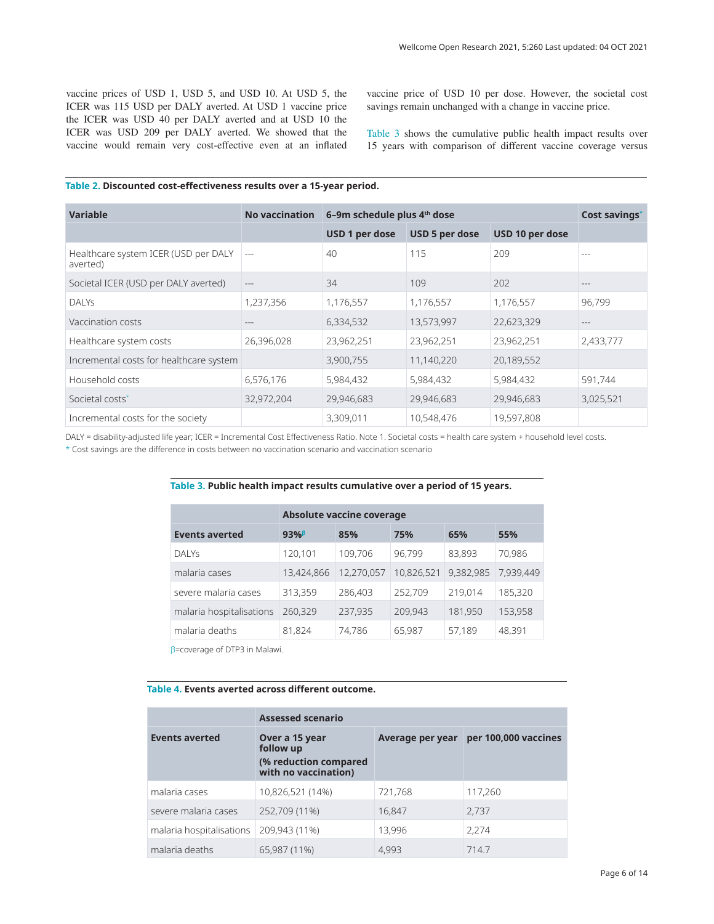<span id="page-5-0"></span>vaccine prices of USD 1, USD 5, and USD 10. At USD 5, the ICER was 115 USD per DALY averted. At USD 1 vaccine price the ICER was USD 40 per DALY averted and at USD 10 the ICER was USD 209 per DALY averted. We showed that the vaccine would remain very cost-effective even at an inflated vaccine price of USD 10 per dose. However, the societal cost savings remain unchanged with a change in vaccine price.

Table 3 shows the cumulative public health impact results over 15 years with comparison of different vaccine coverage versus

### **Table 2. Discounted cost-effectiveness results over a 15-year period.**

| Variable                                         | <b>No vaccination</b> | 6-9m schedule plus 4th dose |                |                 | Cost savings* |
|--------------------------------------------------|-----------------------|-----------------------------|----------------|-----------------|---------------|
|                                                  |                       | USD 1 per dose              | USD 5 per dose | USD 10 per dose |               |
| Healthcare system ICER (USD per DALY<br>averted) | $---$                 | 40                          | 115            | 209             | $---$         |
| Societal ICER (USD per DALY averted)             | $- - -$               | 34                          | 109            | 202             | $- - -$       |
| <b>DALYS</b>                                     | 1,237,356             | 1,176,557                   | 1,176,557      | 1,176,557       | 96,799        |
| Vaccination costs                                |                       | 6,334,532                   | 13,573,997     | 22,623,329      | ---           |
| Healthcare system costs                          | 26,396,028            | 23,962,251                  | 23,962,251     | 23,962,251      | 2,433,777     |
| Incremental costs for healthcare system          |                       | 3,900,755                   | 11,140,220     | 20,189,552      |               |
| Household costs                                  | 6,576,176             | 5,984,432                   | 5,984,432      | 5,984,432       | 591,744       |
| Societal costs <sup>*</sup>                      | 32,972,204            | 29,946,683                  | 29,946,683     | 29,946,683      | 3,025,521     |
| Incremental costs for the society                |                       | 3,309,011                   | 10,548,476     | 19,597,808      |               |

DALY = disability-adjusted life year; ICER = Incremental Cost Effectiveness Ratio. Note 1. Societal costs = health care system + household level costs.

\* Cost savings are the difference in costs between no vaccination scenario and vaccination scenario

#### **Table 3. Public health impact results cumulative over a period of 15 years.**

|                          | <b>Absolute vaccine coverage</b> |            |            |           |           |
|--------------------------|----------------------------------|------------|------------|-----------|-----------|
| <b>Events averted</b>    | 93%                              | 85%        | 75%        | 65%       | 55%       |
| <b>DALYS</b>             | 120,101                          | 109,706    | 96.799     | 83,893    | 70,986    |
| malaria cases            | 13,424,866                       | 12,270,057 | 10,826,521 | 9,382,985 | 7,939,449 |
| severe malaria cases     | 313,359                          | 286,403    | 252,709    | 219,014   | 185,320   |
| malaria hospitalisations | 260,329                          | 237,935    | 209,943    | 181,950   | 153,958   |
| malaria deaths           | 81,824                           | 74.786     | 65,987     | 57,189    | 48,391    |

β=coverage of DTP3 in Malawi.

### **Table 4. Events averted across different outcome.**

|                          | <b>Assessed scenario</b>                      |                  |                      |  |  |
|--------------------------|-----------------------------------------------|------------------|----------------------|--|--|
| <b>Events averted</b>    | Over a 15 year<br>follow up                   | Average per year | per 100,000 vaccines |  |  |
|                          | (% reduction compared<br>with no vaccination) |                  |                      |  |  |
| malaria cases            | 10,826,521 (14%)                              | 721,768          | 117,260              |  |  |
| severe malaria cases     | 252,709 (11%)                                 | 16,847           | 2,737                |  |  |
| malaria hospitalisations | 209,943 (11%)                                 | 13,996           | 2,274                |  |  |
| malaria deaths           | 65,987 (11%)                                  | 4,993            | 714.7                |  |  |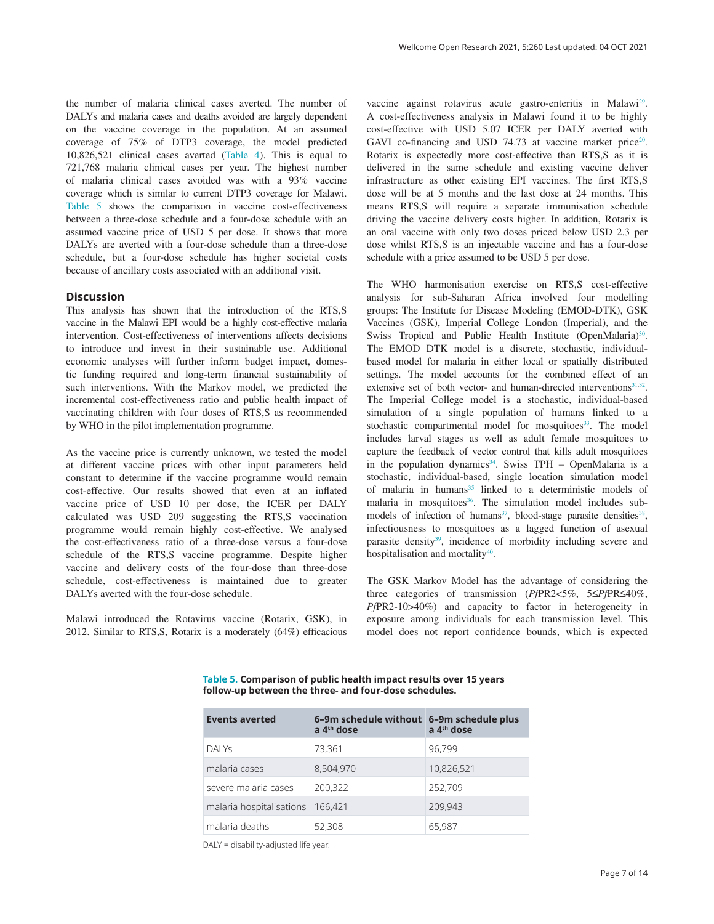the number of malaria clinical cases averted. The number of DALYs and malaria cases and deaths avoided are largely dependent on the vaccine coverage in the population. At an assumed coverage of 75% of DTP3 coverage, the model predicted 10,826,521 clinical cases averted [\(Table 4\)](#page-5-0). This is equal to 721,768 malaria clinical cases per year. The highest number of malaria clinical cases avoided was with a 93% vaccine coverage which is similar to current DTP3 coverage for Malawi. Table 5 shows the comparison in vaccine cost-effectiveness between a three-dose schedule and a four-dose schedule with an assumed vaccine price of USD 5 per dose. It shows that more DALYs are averted with a four-dose schedule than a three-dose schedule, but a four-dose schedule has higher societal costs because of ancillary costs associated with an additional visit.

### **Discussion**

This analysis has shown that the introduction of the RTS,S vaccine in the Malawi EPI would be a highly cost-effective malaria intervention. Cost-effectiveness of interventions affects decisions to introduce and invest in their sustainable use. Additional economic analyses will further inform budget impact, domestic funding required and long-term financial sustainability of such interventions. With the Markov model, we predicted the incremental cost-effectiveness ratio and public health impact of vaccinating children with four doses of RTS,S as recommended by WHO in the pilot implementation programme.

As the vaccine price is currently unknown, we tested the model at different vaccine prices with other input parameters held constant to determine if the vaccine programme would remain cost-effective. Our results showed that even at an inflated vaccine price of USD 10 per dose, the ICER per DALY calculated was USD 209 suggesting the RTS,S vaccination programme would remain highly cost-effective. We analysed the cost-effectiveness ratio of a three-dose versus a four-dose schedule of the RTS,S vaccine programme. Despite higher vaccine and delivery costs of the four-dose than three-dose schedule, cost-effectiveness is maintained due to greater DALYs averted with the four-dose schedule.

Malawi introduced the Rotavirus vaccine (Rotarix, GSK), in 2012. Similar to RTS,S, Rotarix is a moderately (64%) efficacious vaccine against rotavirus acute gastro-enteritis in Malawi<sup>29</sup>. A cost-effectiveness analysis in Malawi found it to be highly cost-effective with USD 5.07 ICER per DALY averted with GAVI co-financing and USD 74.73 at vaccine market price<sup>20</sup>. Rotarix is expectedly more cost-effective than RTS,S as it is delivered in the same schedule and existing vaccine deliver infrastructure as other existing EPI vaccines. The first RTS,S dose will be at 5 months and the last dose at 24 months. This means RTS,S will require a separate immunisation schedule driving the vaccine delivery costs higher. In addition, Rotarix is an oral vaccine with only two doses priced below USD 2.3 per dose whilst RTS,S is an injectable vaccine and has a four-dose schedule with a price assumed to be USD 5 per dose.

The WHO harmonisation exercise on RTS,S cost-effective analysis for sub-Saharan Africa involved four modelling groups: The Institute for Disease Modeling (EMOD-DTK), GSK Vaccines (GSK), Imperial College London (Imperial), and the Swiss Tropical and Public Health Institute (OpenMalaria)<sup>30</sup>. The EMOD DTK model is a discrete, stochastic, individualbased model for malaria in either local or spatially distributed settings. The model accounts for the combined effect of an extensive set of both vector- and human-directed interventions<sup>[31,32](#page-8-0)</sup>. The Imperial College model is a stochastic, individual-based simulation of a single population of humans linked to a stochastic compartmental model for mosquitoes<sup>33</sup>. The model includes larval stages as well as adult female mosquitoes to capture the feedback of vector control that kills adult mosquitoes in the population dynamics<sup>[34](#page-8-0)</sup>. Swiss TPH – OpenMalaria is a stochastic, individual-based, single location simulation model of malaria in humans<sup>35</sup> linked to a deterministic models of malaria in mosquitoes<sup>36</sup>. The simulation model includes submodels of infection of humans<sup>37</sup>, blood-stage parasite densities<sup>38</sup>, infectiousness to mosquitoes as a lagged function of asexual parasite density<sup>39</sup>, incidence of morbidity including severe and hospitalisation and mortality $40$ .

The GSK Markov Model has the advantage of considering the three categories of transmission (*Pf*PR2<5%, 5≤*Pf*PR≤40%, *Pf*PR2-10>40%) and capacity to factor in heterogeneity in exposure among individuals for each transmission level. This model does not report confidence bounds, which is expected

**Table 5. Comparison of public health impact results over 15 years follow-up between the three- and four-dose schedules.**

| <b>Events averted</b>    | 6-9m schedule without 6-9m schedule plus<br>a 4 <sup>th</sup> dose | a 4 <sup>th</sup> dose |
|--------------------------|--------------------------------------------------------------------|------------------------|
| DALY <sub>S</sub>        | 73,361                                                             | 96,799                 |
| malaria cases            | 8,504,970                                                          | 10,826,521             |
| severe malaria cases     | 200,322                                                            | 252,709                |
| malaria hospitalisations | 166,421                                                            | 209,943                |
| malaria deaths           | 52,308                                                             | 65,987                 |

DALY = disability-adjusted life year.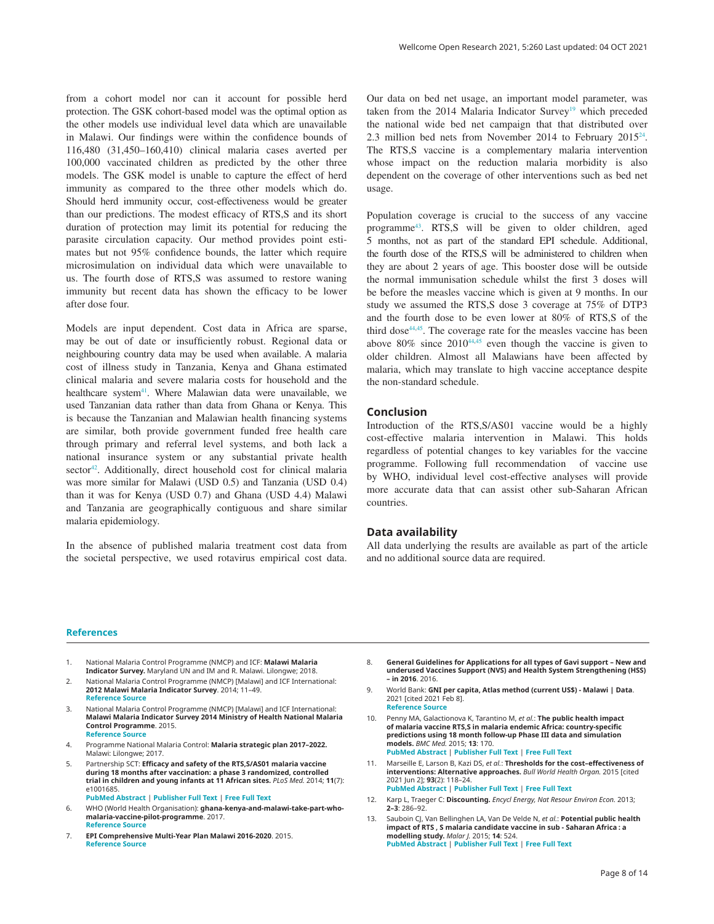<span id="page-7-0"></span>from a cohort model nor can it account for possible herd protection. The GSK cohort-based model was the optimal option as the other models use individual level data which are unavailable in Malawi. Our findings were within the confidence bounds of 116,480 (31,450–160,410) clinical malaria cases averted per 100,000 vaccinated children as predicted by the other three models. The GSK model is unable to capture the effect of herd immunity as compared to the three other models which do. Should herd immunity occur, cost-effectiveness would be greater than our predictions. The modest efficacy of RTS,S and its short duration of protection may limit its potential for reducing the parasite circulation capacity. Our method provides point estimates but not 95% confidence bounds, the latter which require microsimulation on individual data which were unavailable to us. The fourth dose of RTS,S was assumed to restore waning immunity but recent data has shown the efficacy to be lower after dose four.

Models are input dependent. Cost data in Africa are sparse, may be out of date or insufficiently robust. Regional data or neighbouring country data may be used when available. A malaria cost of illness study in Tanzania, Kenya and Ghana estimated clinical malaria and severe malaria costs for household and the healthcare system<sup>41</sup>. Where Malawian data were unavailable, we used Tanzanian data rather than data from Ghana or Kenya. This is because the Tanzanian and Malawian health financing systems are similar, both provide government funded free health care through primary and referral level systems, and both lack a national insurance system or any substantial private health sector<sup>42</sup>. Additionally, direct household cost for clinical malaria was more similar for Malawi (USD 0.5) and Tanzania (USD 0.4) than it was for Kenya (USD 0.7) and Ghana (USD 4.4) Malawi and Tanzania are geographically contiguous and share similar malaria epidemiology.

In the absence of published malaria treatment cost data from the societal perspective, we used rotavirus empirical cost data. Our data on bed net usage, an important model parameter, was taken from the 2014 Malaria Indicator Survey<sup>19</sup> which preceded the national wide bed net campaign that that distributed over 2.3 million bed nets from November 2014 to February 201[524](#page-8-0). The RTS,S vaccine is a complementary malaria intervention whose impact on the reduction malaria morbidity is also dependent on the coverage of other interventions such as bed net usage.

Population coverage is crucial to the success of any vaccine programm[e43](#page-8-0). RTS,S will be given to older children, aged 5 months, not as part of the standard EPI schedule. Additional, the fourth dose of the RTS,S will be administered to children when they are about 2 years of age. This booster dose will be outside the normal immunisation schedule whilst the first 3 doses will be before the measles vaccine which is given at 9 months. In our study we assumed the RTS,S dose 3 coverage at 75% of DTP3 and the fourth dose to be even lower at 80% of RTS,S of the third dose<sup>44,45</sup>. The coverage rate for the measles vaccine has been above  $80\%$  since  $2010^{44,45}$  $2010^{44,45}$  $2010^{44,45}$  even though the vaccine is given to older children. Almost all Malawians have been affected by malaria, which may translate to high vaccine acceptance despite the non-standard schedule.

### **Conclusion**

Introduction of the RTS,S/AS01 vaccine would be a highly cost-effective malaria intervention in Malawi. This holds regardless of potential changes to key variables for the vaccine programme. Following full recommendation of vaccine use by WHO, individual level cost-effective analyses will provide more accurate data that can assist other sub-Saharan African countries.

### **Data availability**

All data underlying the results are available as part of the article and no additional source data are required.

#### **References**

- 1. National Malaria Control Programme (NMCP) and ICF: **Malawi Malaria Indicator Survey.** Maryland UN and IM and R. Malawi. Lilongwe; 2018.
- 2. National Malaria Control Programme (NMCP) [Malawi] and ICF International: **2012 Malawi Malaria Indicator Survey**. 2014; 11–49. **[Reference](https://dhsprogram.com/pubs/pdf/MIS18/MIS18.pdf) Source**
- 3. National Malaria Control Programme (NMCP) [Malawi] and ICF International: **Malawi Malaria Indicator Survey 2014 Ministry of Health National Malaria Control Programme**. 2015. **[Reference](http://www.dhsprogram.com) Source**
- 4. Programme National Malaria Control: **Malaria strategic plan 2017–2022.** Malawi: Lilongwe; 2017.
- 5. Partnership SCT: **Efficacy and safety of the RTS,S/AS01 malaria vaccine**  during 18 months after vaccination: a phase 3 randomized, controlled<br>trial in children and young infants at 11 African sites. PLoS Med. 2014; 11(7): e1001685. **PubMed [Abstract](http://www.ncbi.nlm.nih.gov/pubmed/25072396)** | **[Publisher](http://dx.doi.org/10.1371/journal.pmed.1001685) Full Text** | **[Free](http://www.ncbi.nlm.nih.gov/pmc/articles/4114488) Full Text**
- 6. WHO (World Health Organisation): **ghana-kenya-and-malawi-take-part-whomalaria-vaccine-pilot-programme**. 2017. **[Reference](https://www.who.int/malaria/news/2017/countries-malaria-vaccine-pilot-programme/en/) Source**
- 7. **EPI Comprehensive Multi-Year Plan Malawi 2016-2020**. 2015. **[Reference](https://extranet.who.int/countryplanningcycles/sites/default/files/planning_cycle_repository/malawi/malawi_cmyp_2016-2020.pdf) Source**
- 8. **General Guidelines for Applications for all types of Gavi support – New and underused Vaccines Support (NVS) and Health System Strengthening (HSS) – in 2016**. 2016.
- 9. World Bank: **GNI per capita, Atlas method (current US\$) - Malawi | Data**. 2021 [cited 2021 Feb 8]. **[Reference](https://data.worldbank.org/indicator/NY.GNP.PCAP.CD?locations=MW) Source**
- 10. Penny MA, Galactionova K, Tarantino M, *et al.*: **The public health impact of malaria vaccine RTS,S in malaria endemic Africa: country-specific predictions using 18 month follow-up Phase III data and simulation models.** *BMC Med.* 2015; **13**: 170. **PubMed [Abstract](http://www.ncbi.nlm.nih.gov/pubmed/26219380)** | **[Publisher](http://dx.doi.org/10.1186/s12916-015-0408-2) Full Text** | **[Free](http://www.ncbi.nlm.nih.gov/pmc/articles/4518512) Full Text**
- 11. Marseille E, Larson B, Kazi DS, *et al.*: **Thresholds for the cost–effectiveness of interventions: Alternative approaches.** *Bull World Health Organ.* 2015 [cited 2021 Jun 2]; **93**(2): 118–24. **PubMed [Abstract](http://www.ncbi.nlm.nih.gov/pubmed/25883405)** | **[Publisher](http://dx.doi.org/10.2471/BLT.14.138206) Full Text** | **[Free](http://www.ncbi.nlm.nih.gov/pmc/articles/4339959) Full Text**
- 12. Karp L, Traeger C: **Discounting.** *Encycl Energy, Nat Resour Environ Econ.* 2013; **2–3**: 286–92.
- 13. Sauboin CJ, Van Bellinghen LA, Van De Velde N, *et al.*: **Potential public health impact of RTS , S malaria candidate vaccine in sub ‑ Saharan Africa : a modelling study.** *Malar J.* 2015; **14**: 524. **PubMed [Abstract](http://www.ncbi.nlm.nih.gov/pubmed/26702637)** | **[Publisher](http://dx.doi.org/10.1186/s12936-015-1046-z) Full Text** | **[Free](http://www.ncbi.nlm.nih.gov/pmc/articles/4690265) Full Text**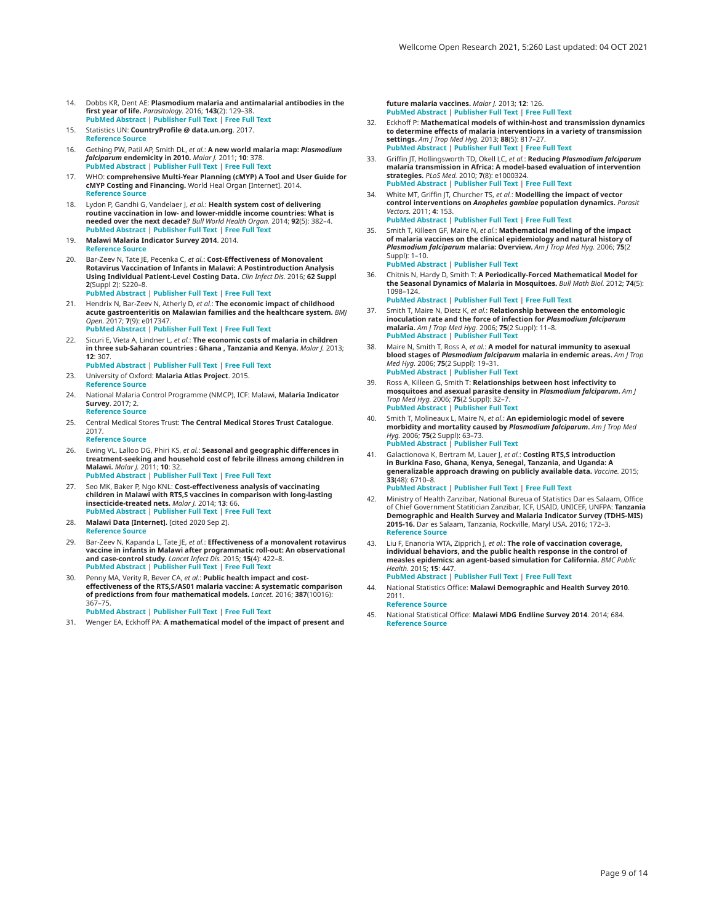- <span id="page-8-0"></span>14. Dobbs KR, Dent AE: **Plasmodium malaria and antimalarial antibodies in the first year of life.** *Parasitology.* 2016; **143**(2): 129–38. **PubMed [Abstract](http://www.ncbi.nlm.nih.gov/pubmed/26743626)** | **[Publisher](http://dx.doi.org/10.1017/S0031182015001626) Full Text** | **[Free](http://www.ncbi.nlm.nih.gov/pmc/articles/4825094) Full Text**
- 15. Statistics UN: **CountryProfile @ data.un.org**. 2017. **[Reference](http://data.un.org/CountryProfile.aspx?crName=malawi) Source**
- 16. Gething PW, Patil AP, Smith DL, *et al.*: **A new world malaria map:** *Plasmodium falciparum* **endemicity in 2010.** *Malar J.* 2011; **10**: 378. **PubMed [Abstract](http://www.ncbi.nlm.nih.gov/pubmed/22185615)** | **[Publisher](http://dx.doi.org/10.1186/1475-2875-10-378) Full Text** | **[Free](http://www.ncbi.nlm.nih.gov/pmc/articles/3274487) Full Text**
- 17. WHO: **comprehensive Multi-Year Planning (cMYP) A Tool and User Guide for cMYP Costing and Financing.** World Heal Organ [Internet]. 2014. **[Reference](http://apps.who.int/iris/bitstream/10665/128051/1/WHO_IVB_14.06_eng.pdf?ua=1) Source**
- 18. Lydon P, Gandhi G, Vandelaer J, *et al.*: **Health system cost of delivering**<br>**routine vaccination in low- and lower-middle income countries: What is needed over the next decade?** *Bull World Health Organ.* 2014; **92**(5): 382–4. **PubMed [Abstract](http://www.ncbi.nlm.nih.gov/pubmed/24839329)** | **[Publisher](http://dx.doi.org/10.2471/BLT.13.130146) Full Text** | **[Free](http://www.ncbi.nlm.nih.gov/pmc/articles/4007127) Full Text**
- 19. **Malawi Malaria Indicator Survey 2014**. 2014. **[Reference](https://microdata.worldbank.org/index.php/catalog/2335/study-description) Source**
- 20. Bar-Zeev N, Tate IE, Pecenka C, *et al.*: **Cost-Effectiveness of Monovalent Rotavirus Vaccination of Infants in Malawi: A Postintroduction Analysis Using Individual Patient-Level Costing Data.** *Clin Infect Dis.* 2016; **62 Suppl 2**(Suppl 2): S220–8. **PubMed [Abstract](http://www.ncbi.nlm.nih.gov/pubmed/27059360)** | **[Publisher](http://dx.doi.org/10.1093/cid/civ1025) Full Text** | **[Free](http://www.ncbi.nlm.nih.gov/pmc/articles/4825884) Full Text**
- 21. Hendrix N, Bar-Zeev N, Atherly D, *et al.*: **The economic impact of childhood acute gastroenteritis on Malawian families and the healthcare system.** *BMJ Open.* 2017; **7**(9): e017347. **PubMed [Abstract](http://www.ncbi.nlm.nih.gov/pubmed/28871025)** | **[Publisher](http://dx.doi.org/10.1136/bmjopen-2017-017347) Full Text** | **[Free](http://www.ncbi.nlm.nih.gov/pmc/articles/5589001) Full Text**
- 22. Sicuri E, Vieta A, Lindner L, *et al.*: **The economic costs of malaria in children**<br>in three sub-Saharan countries : Ghana , Tanzania and Kenya. *Malar J.* 2013; **12**: 307.
- **PubMed [Abstract](http://www.ncbi.nlm.nih.gov/pubmed/24004482)** | **[Publisher](http://dx.doi.org/10.1186/1475-2875-12-307) Full Text** | **[Free](http://www.ncbi.nlm.nih.gov/pmc/articles/3844618) Full Text** 23. University of Oxford: **Malaria Atlas Project**. 2015.
- **[Reference](http://www.map.ox.ac.uk/) Source**
- 24. National Malaria Control Programme (NMCP), ICF: Malawi, **Malaria Indicator Survey**. 2017; 2. **[Reference](https://dhsprogram.com/pubs/pdf/MIS28/MIS28.pdf) Source**
- 25. Central Medical Stores Trust: **The Central Medical Stores Trust Catalogue**. 2017.
	- **[Reference](http://www.cmst.mw/catalogue/cats/aa_class.php) Source**
- 26. Ewing VL, Lalloo DG, Phiri KS, *et al.*: **Seasonal and geographic differences in**<br>**treatment-seeking and household cost of febrile illness among children in Malawi.** *Malar J.* 2011; **10**: 32. **PubMed [Abstract](http://www.ncbi.nlm.nih.gov/pubmed/21303538)** | **[Publisher](http://dx.doi.org/10.1186/1475-2875-10-32) Full Text** | **[Free](http://www.ncbi.nlm.nih.gov/pmc/articles/3049750) Full Text**
- 27. Seo MK, Baker P, Ngo KNL: **Cost-effectiveness analysis of vaccinating children in Malawi with RTS,S vaccines in comparison with long-lasting insecticide-treated nets.** *Malar J.* 2014; **13**: 66. **PubMed [Abstract](http://www.ncbi.nlm.nih.gov/pubmed/24564883)** | **[Publisher](http://dx.doi.org/10.1186/1475-2875-13-66) Full Text** | **[Free](http://www.ncbi.nlm.nih.gov/pmc/articles/4016032) Full Text**
- 28. **Malawi Data [Internet].** [cited 2020 Sep 2]. **[Reference](https://data.worldbank.org/country/malawi) Source**
- 29. Bar-Zeev N, Kapanda L, Tate JE, *et al.*: **Effectiveness of a monovalent rotavirus vaccine in infants in Malawi after programmatic roll-out: An observational and case-control study.** *Lancet Infect Dis.* 2015; **15**(4): 422–8. **PubMed [Abstract](http://www.ncbi.nlm.nih.gov/pubmed/25638521)** | **[Publisher](http://dx.doi.org/10.1016/S1473-3099(14)71060-6) Full Text** | **[Free](http://www.ncbi.nlm.nih.gov/pmc/articles/4374102) Full Text**
- 30. Penny MA, Verity R, Bever CA, *et al.*: **Public health impact and cost-effectiveness of the RTS,S/AS01 malaria vaccine: A systematic comparison of predictions from four mathematical models.** *Lancet.* 2016; **387**(10016):  $267$ **PubMed [Abstract](http://www.ncbi.nlm.nih.gov/pubmed/26549466)** | **[Publisher](http://dx.doi.org/10.1016/S0140-6736(15)00725-4) Full Text** | **[Free](http://www.ncbi.nlm.nih.gov/pmc/articles/4723722) Full Text**
- 31. Wenger EA, Eckhoff PA: **A mathematical model of the impact of present and**

**future malaria vaccines.** *Malar J.* 2013; **12**: 126. **PubMed [Abstract](http://www.ncbi.nlm.nih.gov/pubmed/23587051)** | **[Publisher](http://dx.doi.org/10.1186/1475-2875-12-126) Full Text** | **[Free](http://www.ncbi.nlm.nih.gov/pmc/articles/3658952) Full Text**

- 32. Eckhoff P: **Mathematical models of within-host and transmission dynamics to determine effects of malaria interventions in a variety of transmission settings.** *Am J Trop Med Hyg.* 2013; **88**(5): 817–27. **PubMed [Abstract](http://www.ncbi.nlm.nih.gov/pubmed/23589530)** | **[Publisher](http://dx.doi.org/10.4269/ajtmh.12-0007) Full Text** | **[Free](http://www.ncbi.nlm.nih.gov/pmc/articles/3752743) Full Text**
- 33. Griffin JT, Hollingsworth TD, Okell LC, *et al.*: **Reducing** *Plasmodium falciparum* **malaria transmission in Africa: A model-based evaluation of intervention strategies.** *PLoS Med.* 2010; **7**(8): e1000324. **PubMed [Abstract](http://www.ncbi.nlm.nih.gov/pubmed/20711482)** | **[Publisher](http://dx.doi.org/10.1371/journal.pmed.1000324) Full Text** | **[Free](http://www.ncbi.nlm.nih.gov/pmc/articles/2919425) Full Text**
- 34. White MT, Griffin JT, Churcher TS, *et al.*: **Modelling the impact of vector control interventions on** *Anopheles gambiae* **population dynamics.** *Parasit Vectors.* 2011; **4**: 153. **PubMed [Abstract](http://www.ncbi.nlm.nih.gov/pubmed/21798055)** | **[Publisher](http://dx.doi.org/10.1186/1756-3305-4-153) Full Text** | **[Free](http://www.ncbi.nlm.nih.gov/pmc/articles/3158753) Full Text**
- 35. Smith T, Killeen GF, Maire N, *et al.*: **Mathematical modeling of the impact of malaria vaccines on the clinical epidemiology and natural history of** *Plasmodium falciparum* **malaria: Overview.** *Am J Trop Med Hyg.* 2006; **75**(2 Suppl): 1–10. **PubMed [Abstract](http://www.ncbi.nlm.nih.gov/pubmed/16931810)** | **[Publisher](http://dx.doi.org/10.4269/ajtmh.2006.75.2_suppl.0750001) Full Text**
- 36. Chitnis N, Hardy D, Smith T: **A Periodically-Forced Mathematical Model for the Seasonal Dynamics of Malaria in Mosquitoes.** *Bull Math Biol.* 2012; **74**(5): 1098–124. **PubMed [Abstract](http://www.ncbi.nlm.nih.gov/pubmed/22218880)** | **[Publisher](http://dx.doi.org/10.1007/s11538-011-9710-0) Full Text** | **[Free](http://www.ncbi.nlm.nih.gov/pmc/articles/3339865) Full Text**
- 37. Smith T, Maire N, Dietz K, *et al.*: **Relationship between the entomologic inoculation rate and the force of infection for** *Plasmodium falciparum* **malaria.** *Am J Trop Med Hyg.* 2006; **75**(2 Suppl): 11–8. **PubMed [Abstract](http://www.ncbi.nlm.nih.gov/pubmed/16931811)** | **[Publisher](http://dx.doi.org/10.4269/ajtmh.2006.75.2_suppl.0750011) Full Text**
- 38. Maire N, Smith T, Ross A, *et al.*: **A model for natural immunity to asexual blood stages of** *Plasmodium falciparum* **malaria in endemic areas.** *Am J Trop Med Hyg.* 2006; **75**(2 Suppl): 19–31. **PubMed [Abstract](http://www.ncbi.nlm.nih.gov/pubmed/16931812)** | **[Publisher](http://dx.doi.org/10.4269/ajtmh.2006.75.19) Full Text**
- 39. Ross A, Killeen G, Smith T: **Relationships between host infectivity to mosquitoes and asexual parasite density in** *Plasmodium falciparum***.** *Am J Trop Med Hyg.* 2006; **75**(2 Suppl): 32–7. **PubMed [Abstract](http://www.ncbi.nlm.nih.gov/pubmed/16931813)** | **[Publisher](http://dx.doi.org/10.4269/ajtmh.2006.75.32) Full Text**
- 40. Smith T, Molineaux L, Maire N, *et al.*: **An epidemiologic model of severe morbidity and mortality caused by** *Plasmodium falciparum***.** *Am J Trop Med Hyg.* 2006; **75**(2 Suppl): 63–73. **PubMed [Abstract](http://www.ncbi.nlm.nih.gov/pubmed/16931817)** | **[Publisher](http://dx.doi.org/10.4269/ajtmh.2006.75.63) Full Text**
- 41. Galactionova K, Bertram M, Lauer J, *et al.*: **Costing RTS,S introduction in Burkina Faso, Ghana, Kenya, Senegal, Tanzania, and Uganda: A generalizable approach drawing on publicly available data.** *Vaccine.* 2015; **33**(48): 6710–8. **PubMed [Abstract](http://www.ncbi.nlm.nih.gov/pubmed/26518406)** | **[Publisher](http://dx.doi.org/10.1016/j.vaccine.2015.10.079) Full Text** | **[Free](http://www.ncbi.nlm.nih.gov/pmc/articles/5357730) Full Text**
- 42. Ministry of Health Zanzibar, National Bureua of Statistics Dar es Salaam, Office of Chief Government Statitician Zanzibar, ICF, USAID, UNICEF, UNFPA: **Tanzania Demographic and Health Survey and Malaria Indicator Survey (TDHS-MIS) 2015-16.** Dar es Salaam, Tanzania, Rockville, Maryl USA. 2016; 172–3. **[Reference](https://www.dhsprogram.com/pubs/pdf/FR321/FR321.pdf) Source**
- 43. Liu F, Enanoria WTA, Zipprich J, *et al.*: **The role of vaccination coverage,** individual behaviors, and the public health response in the control of<br>measles epidemics: an agent-based simulation for California. BMC Public *Health.* 2015; **15**: 447. **PubMed [Abstract](http://www.ncbi.nlm.nih.gov/pubmed/25928152)** | **[Publisher](http://dx.doi.org/10.1186/s12889-015-1766-6) Full Text** | **[Free](http://www.ncbi.nlm.nih.gov/pmc/articles/4438575) Full Text**
- 44. National Statistics Office: **Malawi Demographic and Health Survey 2010**. 2011. **[Reference](https://dhsprogram.com/pubs/pdf/FR247/FR247.pdf) Source**
- 45. National Statistical Office: **Malawi MDG Endline Survey 2014**. 2014; 684. **[Reference](http://www.nsomalawi.mw/index.php?option=com_content&view=article&id=210&Itemid=98) Source**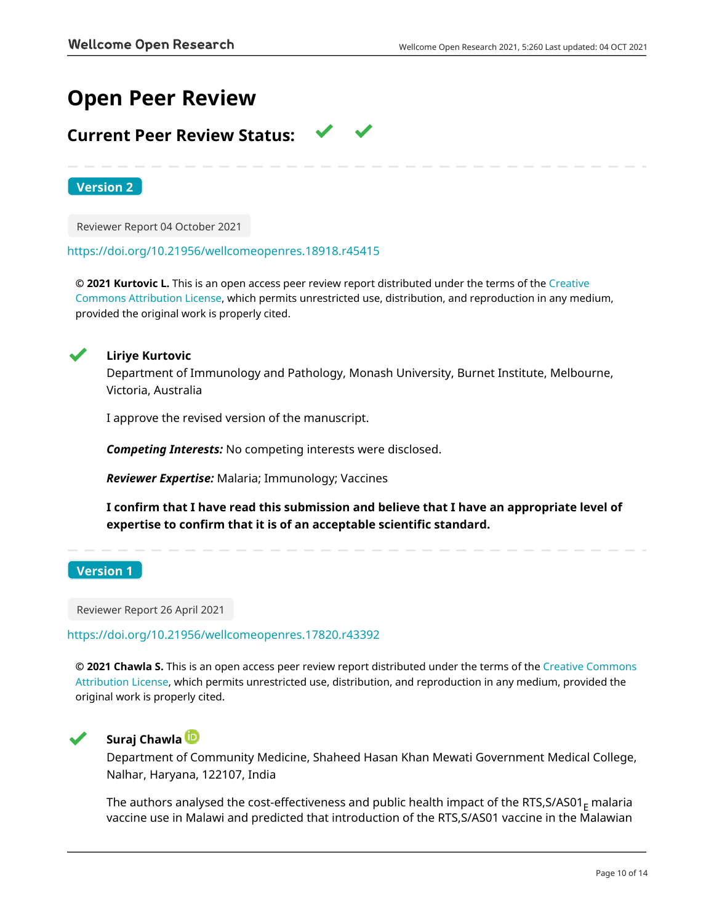# **Open Peer Review**

## **Current Peer Review Status:**

**Version 2**

Reviewer Report 04 October 2021

<https://doi.org/10.21956/wellcomeopenres.18918.r45415>

**© 2021 Kurtovic L.** This is an open access peer review report distributed under the terms of the [Creative](https://creativecommons.org/licenses/by/4.0/) [Commons Attribution License](https://creativecommons.org/licenses/by/4.0/), which permits unrestricted use, distribution, and reproduction in any medium, provided the original work is properly cited.



## **Liriye Kurtovic**

Department of Immunology and Pathology, Monash University, Burnet Institute, Melbourne, Victoria, Australia

I approve the revised version of the manuscript.

*Competing Interests:* No competing interests were disclosed.

*Reviewer Expertise:* Malaria; Immunology; Vaccines

**I confirm that I have read this submission and believe that I have an appropriate level of expertise to confirm that it is of an acceptable scientific standard.**

**Version 1**

Reviewer Report 26 April 2021

<https://doi.org/10.21956/wellcomeopenres.17820.r43392>

**© 2021 Chawla S.** This is an open access peer review report distributed under the terms of the [Creative Commons](https://creativecommons.org/licenses/by/4.0/) [Attribution License](https://creativecommons.org/licenses/by/4.0/), which permits unrestricted use, distribution, and reproduction in any medium, provided the original work is properly cited.



## **Suraj Chawla**

Department of Community Medicine, Shaheed Hasan Khan Mewati Government Medical College, Nalhar, Haryana, 122107, India

The authors analysed the cost-effectiveness and public health impact of the RTS, S/AS01 $<sub>F</sub>$  malaria</sub> vaccine use in Malawi and predicted that introduction of the RTS,S/AS01 vaccine in the Malawian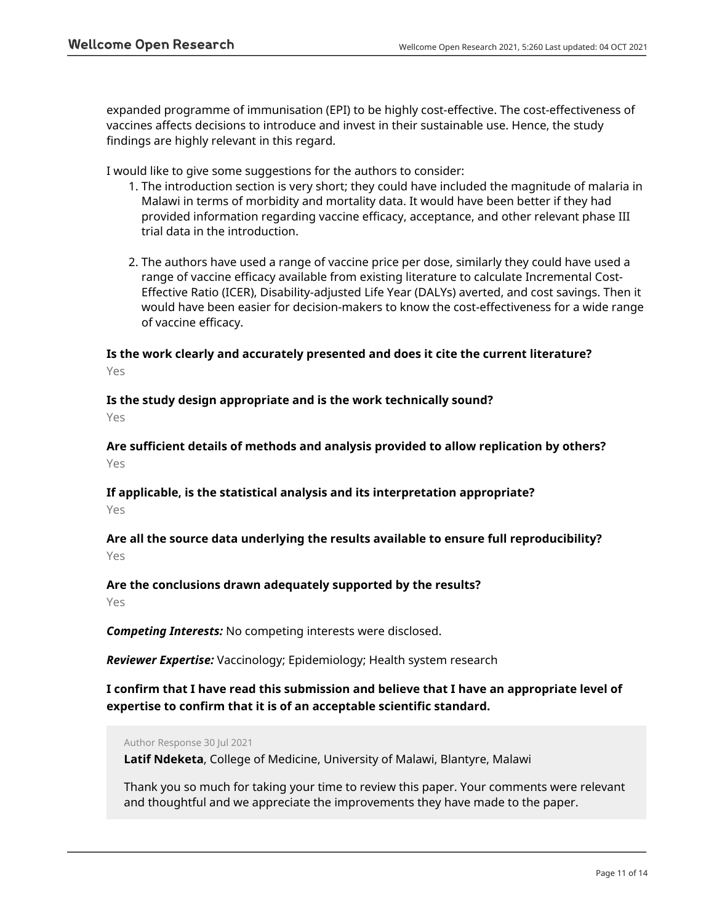expanded programme of immunisation (EPI) to be highly cost-effective. The cost-effectiveness of vaccines affects decisions to introduce and invest in their sustainable use. Hence, the study findings are highly relevant in this regard.

I would like to give some suggestions for the authors to consider:

- 1. The introduction section is very short; they could have included the magnitude of malaria in Malawi in terms of morbidity and mortality data. It would have been better if they had provided information regarding vaccine efficacy, acceptance, and other relevant phase III trial data in the introduction.
- 2. The authors have used a range of vaccine price per dose, similarly they could have used a range of vaccine efficacy available from existing literature to calculate Incremental Cost-Effective Ratio (ICER), Disability-adjusted Life Year (DALYs) averted, and cost savings. Then it would have been easier for decision-makers to know the cost-effectiveness for a wide range of vaccine efficacy.

## **Is the work clearly and accurately presented and does it cite the current literature?** Yes

## **Is the study design appropriate and is the work technically sound?**

Yes

**Are sufficient details of methods and analysis provided to allow replication by others?** Yes

## **If applicable, is the statistical analysis and its interpretation appropriate?** Yes

## **Are all the source data underlying the results available to ensure full reproducibility?** Yes

## **Are the conclusions drawn adequately supported by the results?**

Yes

*Competing Interests:* No competing interests were disclosed.

*Reviewer Expertise:* Vaccinology; Epidemiology; Health system research

## **I confirm that I have read this submission and believe that I have an appropriate level of expertise to confirm that it is of an acceptable scientific standard.**

## Author Response 30 Jul 2021

**Latif Ndeketa**, College of Medicine, University of Malawi, Blantyre, Malawi

Thank you so much for taking your time to review this paper. Your comments were relevant and thoughtful and we appreciate the improvements they have made to the paper.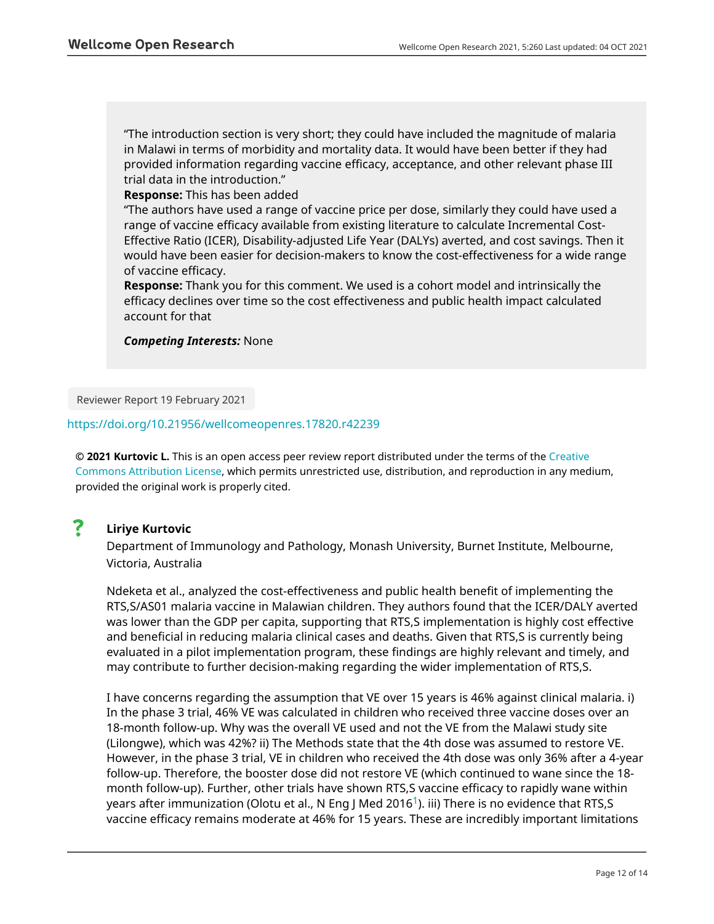"The introduction section is very short; they could have included the magnitude of malaria in Malawi in terms of morbidity and mortality data. It would have been better if they had provided information regarding vaccine efficacy, acceptance, and other relevant phase III trial data in the introduction."

## **Response:** This has been added

"The authors have used a range of vaccine price per dose, similarly they could have used a range of vaccine efficacy available from existing literature to calculate Incremental Cost-Effective Ratio (ICER), Disability-adjusted Life Year (DALYs) averted, and cost savings. Then it would have been easier for decision-makers to know the cost-effectiveness for a wide range of vaccine efficacy.

**Response:** Thank you for this comment. We used is a cohort model and intrinsically the efficacy declines over time so the cost effectiveness and public health impact calculated account for that

*Competing Interests:* None

Reviewer Report 19 February 2021

## <https://doi.org/10.21956/wellcomeopenres.17820.r42239>

**© 2021 Kurtovic L.** This is an open access peer review report distributed under the terms of the [Creative](https://creativecommons.org/licenses/by/4.0/) [Commons Attribution License](https://creativecommons.org/licenses/by/4.0/), which permits unrestricted use, distribution, and reproduction in any medium, provided the original work is properly cited.

#### ? **Liriye Kurtovic**

Department of Immunology and Pathology, Monash University, Burnet Institute, Melbourne, Victoria, Australia

Ndeketa et al., analyzed the cost-effectiveness and public health benefit of implementing the RTS,S/AS01 malaria vaccine in Malawian children. They authors found that the ICER/DALY averted was lower than the GDP per capita, supporting that RTS,S implementation is highly cost effective and beneficial in reducing malaria clinical cases and deaths. Given that RTS,S is currently being evaluated in a pilot implementation program, these findings are highly relevant and timely, and may contribute to further decision-making regarding the wider implementation of RTS,S.

I have concerns regarding the assumption that VE over 15 years is 46% against clinical malaria. i) In the phase 3 trial, 46% VE was calculated in children who received three vaccine doses over an 18-month follow-up. Why was the overall VE used and not the VE from the Malawi study site (Lilongwe), which was 42%? ii) The Methods state that the 4th dose was assumed to restore VE. However, in the phase 3 trial, VE in children who received the 4th dose was only 36% after a 4-year follow-up. Therefore, the booster dose did not restore VE (which continued to wane since the 18 month follow-up). Further, other trials have shown RTS,S vaccine efficacy to rapidly wane within years after immunization (Olotu et al., N Eng J Med 20[1](jar:file:/work/f1000research/webapps/ROOT/WEB-INF/lib/service-1.0-SNAPSHOT.jar!/com/f1000research/service/export/pdf/#rep-ref-42239-1)6<sup>1</sup>). iii) There is no evidence that RTS, S vaccine efficacy remains moderate at 46% for 15 years. These are incredibly important limitations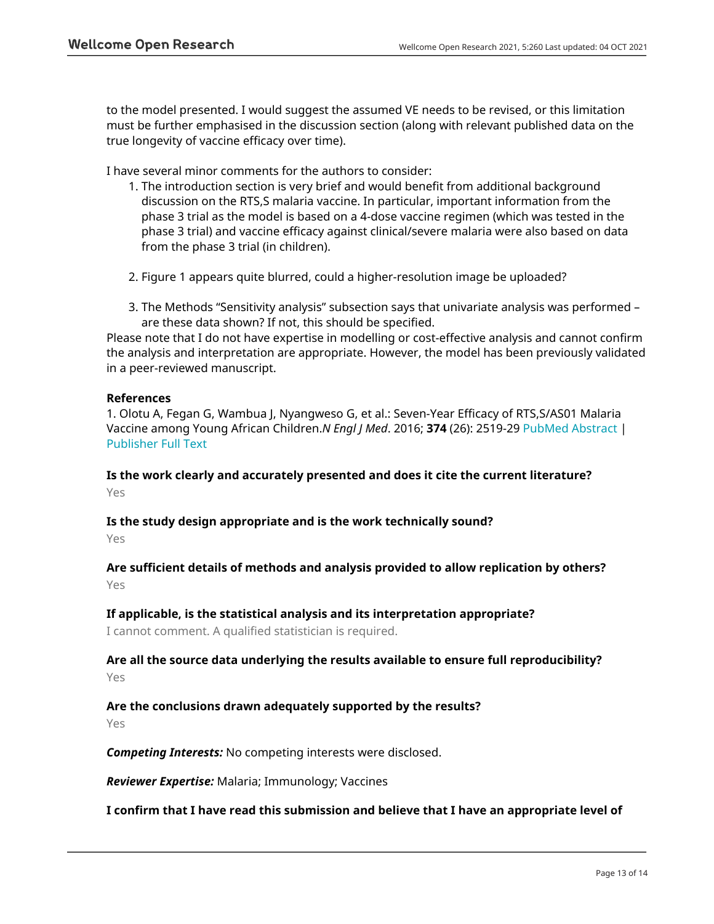to the model presented. I would suggest the assumed VE needs to be revised, or this limitation must be further emphasised in the discussion section (along with relevant published data on the true longevity of vaccine efficacy over time).

I have several minor comments for the authors to consider:

- 1. The introduction section is very brief and would benefit from additional background discussion on the RTS,S malaria vaccine. In particular, important information from the phase 3 trial as the model is based on a 4-dose vaccine regimen (which was tested in the phase 3 trial) and vaccine efficacy against clinical/severe malaria were also based on data from the phase 3 trial (in children).
- 2. Figure 1 appears quite blurred, could a higher-resolution image be uploaded?
- 3. The Methods "Sensitivity analysis" subsection says that univariate analysis was performed are these data shown? If not, this should be specified.

Please note that I do not have expertise in modelling or cost-effective analysis and cannot confirm the analysis and interpretation are appropriate. However, the model has been previously validated in a peer-reviewed manuscript.

## **References**

1. Olotu A, Fegan G, Wambua J, Nyangweso G, et al.: Seven-Year Efficacy of RTS,S/AS01 Malaria Vaccine among Young African Children.*N Engl J Med*. 2016; **374** (26): 2519-29 [PubMed Abstract](http://www.ncbi.nlm.nih.gov/pubmed/27355532) | [Publisher Full Text](https://doi.org/10.1056/NEJMoa1515257)

**Is the work clearly and accurately presented and does it cite the current literature?** Yes

**Is the study design appropriate and is the work technically sound?** Yes

**Are sufficient details of methods and analysis provided to allow replication by others?** Yes

## **If applicable, is the statistical analysis and its interpretation appropriate?**

I cannot comment. A qualified statistician is required.

## **Are all the source data underlying the results available to ensure full reproducibility?** Yes

## **Are the conclusions drawn adequately supported by the results?** Yes

*Competing Interests:* No competing interests were disclosed.

*Reviewer Expertise:* Malaria; Immunology; Vaccines

## **I confirm that I have read this submission and believe that I have an appropriate level of**